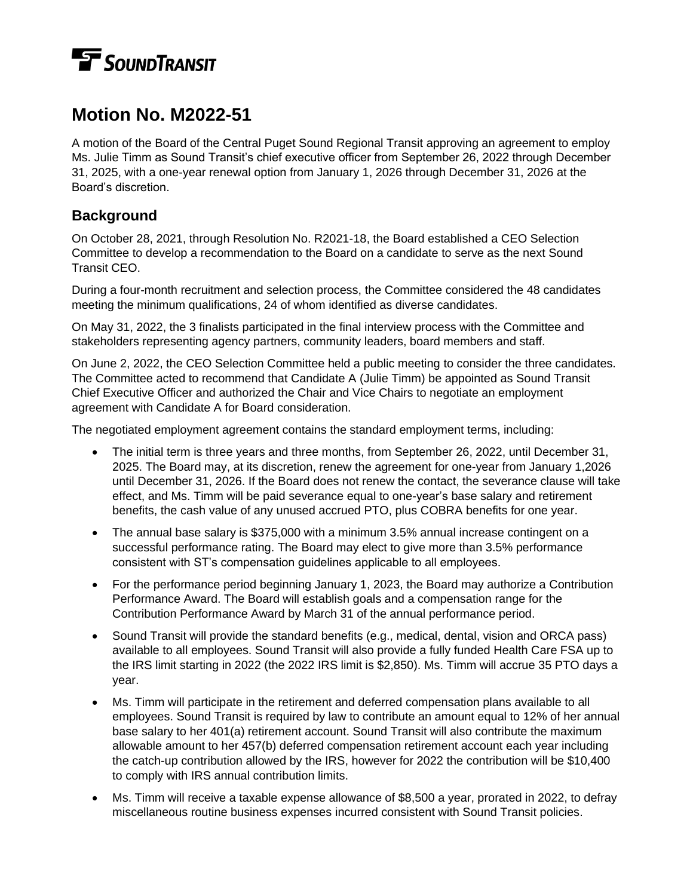## **TE** SOUNDTRANSIT

## **Motion No. M2022-51**

A motion of the Board of the Central Puget Sound Regional Transit approving an agreement to employ Ms. Julie Timm as Sound Transit's chief executive officer from September 26, 2022 through December 31, 2025, with a one-year renewal option from January 1, 2026 through December 31, 2026 at the Board's discretion.

## **Background**

On October 28, 2021, through Resolution No. R2021-18, the Board established a CEO Selection Committee to develop a recommendation to the Board on a candidate to serve as the next Sound Transit CEO.

During a four-month recruitment and selection process, the Committee considered the 48 candidates meeting the minimum qualifications, 24 of whom identified as diverse candidates.

On May 31, 2022, the 3 finalists participated in the final interview process with the Committee and stakeholders representing agency partners, community leaders, board members and staff.

On June 2, 2022, the CEO Selection Committee held a public meeting to consider the three candidates. The Committee acted to recommend that Candidate A (Julie Timm) be appointed as Sound Transit Chief Executive Officer and authorized the Chair and Vice Chairs to negotiate an employment agreement with Candidate A for Board consideration.

The negotiated employment agreement contains the standard employment terms, including:

- The initial term is three years and three months, from September 26, 2022, until December 31, 2025. The Board may, at its discretion, renew the agreement for one-year from January 1,2026 until December 31, 2026. If the Board does not renew the contact, the severance clause will take effect, and Ms. Timm will be paid severance equal to one-year's base salary and retirement benefits, the cash value of any unused accrued PTO, plus COBRA benefits for one year.
- The annual base salary is \$375,000 with a minimum 3.5% annual increase contingent on a successful performance rating. The Board may elect to give more than 3.5% performance consistent with ST's compensation guidelines applicable to all employees.
- For the performance period beginning January 1, 2023, the Board may authorize a Contribution Performance Award. The Board will establish goals and a compensation range for the Contribution Performance Award by March 31 of the annual performance period.
- Sound Transit will provide the standard benefits (e.g., medical, dental, vision and ORCA pass) available to all employees. Sound Transit will also provide a fully funded Health Care FSA up to the IRS limit starting in 2022 (the 2022 IRS limit is \$2,850). Ms. Timm will accrue 35 PTO days a year.
- Ms. Timm will participate in the retirement and deferred compensation plans available to all employees. Sound Transit is required by law to contribute an amount equal to 12% of her annual base salary to her 401(a) retirement account. Sound Transit will also contribute the maximum allowable amount to her 457(b) deferred compensation retirement account each year including the catch-up contribution allowed by the IRS, however for 2022 the contribution will be \$10,400 to comply with IRS annual contribution limits.
- Ms. Timm will receive a taxable expense allowance of \$8,500 a year, prorated in 2022, to defray miscellaneous routine business expenses incurred consistent with Sound Transit policies.